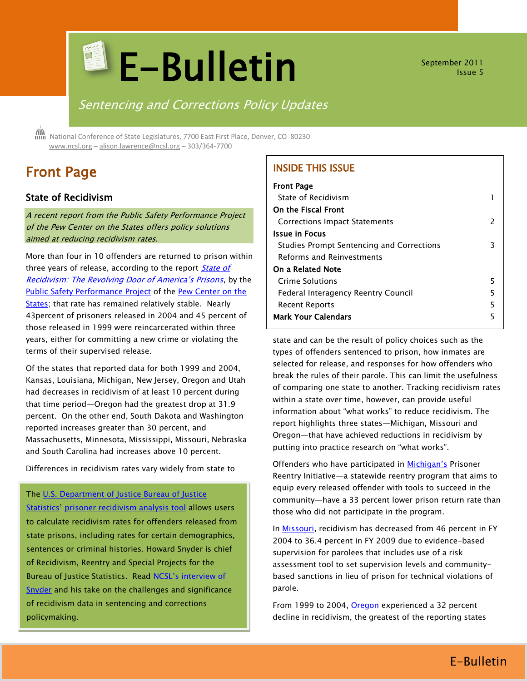# **E-Bulletin**

September 2011 Issue 5

# Sentencing and Corrections Policy Updates

 National Conference of State Legislatures, 7700 East First Place, Denver, CO 80230 [www.ncsl.org](http://www.ncsl.org/) – [alison.lawrence@ncsl.org](mailto:Alison.lawrence@ncsl.org) – 303/364-7700

# Front Page

## State of Recidivism

A recent report from the Public Safety Performance Project of the Pew Center on the States offers policy solutions aimed at reducing recidivism rates.

More than four in 10 offenders are returned to prison within three years of release, according to the report *State of* [Recidivism: The Revolving Door of America's Prisons](http://www.pewcenteronthestates.org/initiatives_detail.aspx?initiativeID=85899358500#findings), by the [Public Safety Performance Project](http://www.pewcenteronthestates.org/initiatives_detail.aspx?initiativeID=31336) of the [Pew Center on the](http://www.pewcenteronthestates.org/)  [States;](http://www.pewcenteronthestates.org/) that rate has remained relatively stable. Nearly 43percent of prisoners released in 2004 and 45 percent of those released in 1999 were reincarcerated within three years, either for committing a new crime or violating the terms of their supervised release.

Of the states that reported data for both 1999 and 2004, Kansas, Louisiana, Michigan, New Jersey, Oregon and Utah had decreases in recidivism of at least 10 percent during that time period—Oregon had the greatest drop at 31.9 percent. On the other end, South Dakota and Washington reported increases greater than 30 percent, and Massachusetts, Minnesota, Mississippi, Missouri, Nebraska and South Carolina had increases above 10 percent.

Differences in recidivism rates vary widely from state to

The U.S. Department of Justice Bureau of Justice

[Statistics](http://bjs.ojp.usdoj.gov/)' [prisoner recidivism analysis tool](http://bjs.ojp.usdoj.gov/index.cfm?ty=pbdetail&iid=2392) allows users to calculate recidivism rates for offenders released from state prisons, including rates for certain demographics, sentences or criminal histories. Howard Snyder is chief of Recidivism, Reentry and Special Projects for the Bureau of Justice Statistics. Read NCSL's interview of [Snyder](http://www.ncsl.org/IssuesResearch/CivilandCriminalJustice/QandAwithHowardSnyder/tabid/20413/Default.aspx?tabid=20413) and his take on the challenges and significance of recidivism data in sentencing and corrections policymaking.

# INSIDE THIS ISSUE

| <b>Front Page</b>                         |   |
|-------------------------------------------|---|
| State of Recidivism                       |   |
| On the Fiscal Front                       |   |
| <b>Corrections Impact Statements</b>      | 2 |
| <b>Issue in Focus</b>                     |   |
| Studies Prompt Sentencing and Corrections | 3 |
| <b>Reforms and Reinvestments</b>          |   |
| On a Related Note                         |   |
| <b>Crime Solutions</b>                    | 5 |
| Federal Interagency Reentry Council       | 5 |
| Recent Reports                            | 5 |
| <b>Mark Your Calendars</b>                | 5 |

state and can be the result of policy choices such as the types of offenders sentenced to prison, how inmates are selected for release, and responses for how offenders who break the rules of their parole. This can limit the usefulness of comparing one state to another. Tracking recidivism rates within a state over time, however, can provide useful information about "what works" to reduce recidivism. The report highlights three states—Michigan, Missouri and Oregon—that have achieved reductions in recidivism by putting into practice research on "what works".

Offenders who have participated in [Michigan's](http://www.pewcenteronthestates.org/initiatives_detail.aspx?initiativeID=85899358529#turning) Prisoner Reentry Initiative—a statewide reentry program that aims to equip every released offender with tools to succeed in the community—have a 33 percent lower prison return rate than those who did not participate in the program.

In [Missouri,](http://www.pewcenteronthestates.org/initiatives_detail.aspx?initiativeID=85899358529#technical) recidivism has decreased from 46 percent in FY 2004 to 36.4 percent in FY 2009 due to evidence-based supervision for parolees that includes use of a risk assessment tool to set supervision levels and communitybased sanctions in lieu of prison for technical violations of parole.

From 1999 to 2004, [Oregon](http://www.pewcenteronthestates.org/initiatives_detail.aspx?initiativeID=85899358529#leading) experienced a 32 percent decline in recidivism, the greatest of the reporting states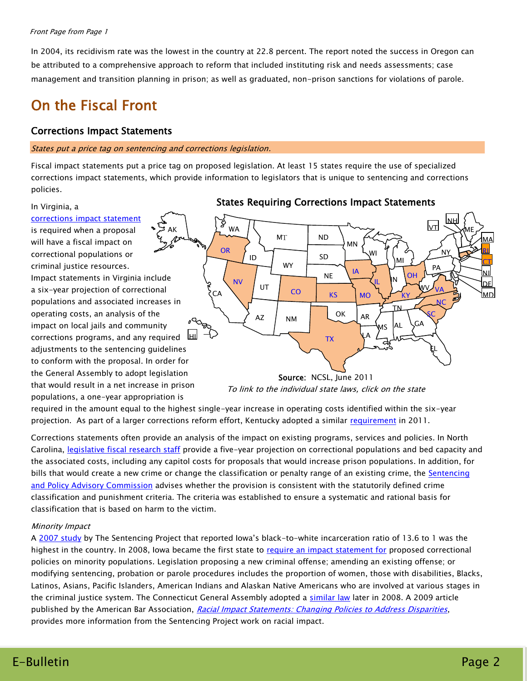#### Front Page from Page 1

In 2004, its recidivism rate was the lowest in the country at 22.8 percent. The report noted the success in Oregon can be attributed to a comprehensive approach to reform that included instituting risk and needs assessments; case management and transition planning in prison; as well as graduated, non-prison sanctions for violations of parole.

# On the Fiscal Front

## Corrections Impact Statements

#### States put a price tag on sentencing and corrections legislation.

Fiscal impact statements put a price tag on proposed legislation. At least 15 states require the use of specialized corrections impact statements, which provide information to legislators that is unique to sentencing and corrections policies.

#### In Virginia, a

[corrections impact statement](http://www.vcsc.virginia.gov/Mar_09/Legislative%20Impact%20Analysis.ppt) is required when a proposal will have a fiscal impact on correctional populations or criminal justice resources. Impact statements in Virginia include a six-year projection of correctional populations and associated increases in operating costs, an analysis of the impact on local jails and community corrections programs, and any required adjustments to the sentencing guidelines to conform with the proposal. In order for the General Assembly to adopt legislation that would result in a net increase in prison populations, a one-year appropriation is AK





required in the amount equal to the highest single-year increase in operating costs identified within the six-year projection. As part of a larger corrections reform effort, Kentucky adopted a similar [requirement](http://www.lrc.ky.gov/krs/006-00/949.PDF) in 2011.

Corrections statements often provide an analysis of the impact on existing programs, services and policies. In North Carolina, [legislative fiscal research staff](http://www.ncga.state.nc.us/fiscalresearch/fiscal_actuarial_notes/notes.shtml) provide a five-year projection on correctional populations and bed capacity and the associated costs, including any capitol costs for proposals that would increase prison populations. In addition, for bills that would create a new crime or change the classification or penalty range of an existing crime, the Sentencing [and Policy Advisory Commission](http://www.nccourts.org/Courts/CRS/Councils/spac/Publication/Legislative.asp) advises whether the provision is consistent with the statutorily defined crime classification and punishment criteria. The criteria was established to ensure a systematic and rational basis for classification that is based on harm to the victim.

#### Minority Impact

A [2007 study](http://www.sentencingproject.org/doc/publications/rd_stateratesofincbyraceandethnicity.pdf) by The Sentencing Project that reported Iowa's black-to-white incarceration ratio of 13.6 to 1 was the highest in the country. In 2008, Iowa became the first state to [require an impact statement for](http://coolice.legis.state.ia.us/Cool-ICE/default.asp?Category=BillInfo&Service=Billbook&menu=text&ga=82&hbill=HF2393) proposed correctional policies on minority populations. Legislation proposing a new criminal offense; amending an existing offense; or modifying sentencing, probation or parole procedures includes the proportion of women, those with disabilities, Blacks, Latinos, Asians, Pacific Islanders, American Indians and Alaskan Native Americans who are involved at various stages in the criminal justice system. The Connecticut General Assembly adopted a [similar law](http://www.cga.ct.gov/asp/cgabillstatus/cgabillstatus.asp?selBillType=Bill&bill_num=5933&which_year=2008&SUBMIT1.x=12&SUBMIT1.y=7&SUBMIT1=Normal) later in 2008. A 2009 article published by the American Bar Association, [Racial Impact Statements: Changing Policies to Address Disparities](http://www.sentencingproject.org/doc/rd_abaarticle.pdf), provides more information from the Sentencing Project work on racial impact.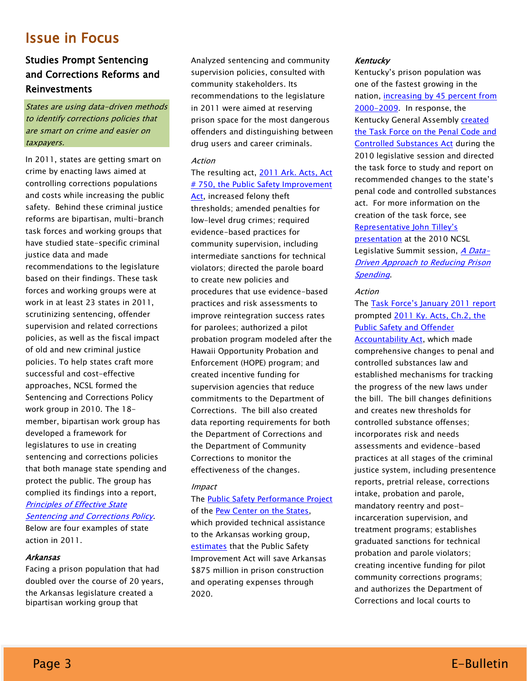# Issue in Focus

# Studies Prompt Sentencing and Corrections Reforms and Reinvestments

States are using data-driven methods to identify corrections policies that are smart on crime and easier on taxpayers.

In 2011, states are getting smart on crime by enacting laws aimed at controlling corrections populations and costs while increasing the public safety. Behind these criminal justice reforms are bipartisan, multi-branch task forces and working groups that have studied state-specific criminal justice data and made recommendations to the legislature based on their findings. These task forces and working groups were at work in at least 23 states in 2011, scrutinizing sentencing, offender supervision and related corrections policies, as well as the fiscal impact of old and new criminal justice policies. To help states craft more successful and cost-effective approaches, NCSL formed the Sentencing and Corrections Policy work group in 2010. The 18 member, bipartisan work group has developed a framework for legislatures to use in creating sentencing and corrections policies that both manage state spending and protect the public. The group has complied its findings into a report, [Principles of Effective State](http://www.ncsl.org/?TabId=23325)  [Sentencing and Corrections Policy.](http://www.ncsl.org/?TabId=23325)

Below are four examples of state action in 2011.

#### Arkansas

Facing a prison population that had doubled over the course of 20 years, the Arkansas legislature created a bipartisan working group that

Analyzed sentencing and community supervision policies, consulted with community stakeholders. Its recommendations to the legislature in 2011 were aimed at reserving prison space for the most dangerous offenders and distinguishing between drug users and career criminals.

#### Action

## The resulting act, [2011 Ark. Acts, Act](http://www.arkleg.state.ar.us/assembly/2011/2011R/Acts/Act570.pdf)  # 750, the Public Safety Improvement

[Act,](http://www.arkleg.state.ar.us/assembly/2011/2011R/Acts/Act570.pdf) increased felony theft thresholds; amended penalties for low-level drug crimes; required evidence-based practices for community supervision, including intermediate sanctions for technical violators; directed the parole board to create new policies and procedures that use evidence-based practices and risk assessments to improve reintegration success rates for parolees; authorized a pilot probation program modeled after the Hawaii Opportunity Probation and Enforcement (HOPE) program; and created incentive funding for supervision agencies that reduce commitments to the Department of Corrections. The bill also created data reporting requirements for both the Department of Corrections and the Department of Community Corrections to monitor the effectiveness of the changes.

#### Impact

The [Public Safety Performance Project](http://www.pewcenteronthestates.org/initiatives_detail.aspx?initiativeID=31336) of the [Pew Center on the States,](http://www.pewcenteronthestates.org/) which provided technical assistance to the Arkansas working group, [estimates](http://www.pewcenteronthestates.org/uploadedFiles/Pew_Arkansas_brief.pdf) that the Public Safety Improvement Act will save Arkansas \$875 million in prison construction and operating expenses through 2020.

#### Kentucky

Kentucky's prison population was one of the fastest growing in the nation, increasing [by 45 percent from](http://www.pewcenteronthestates.org/uploadedFiles/2011_Kentucky_Reforms_Cut_Recidivism.pdf)  [2000-2009.](http://www.pewcenteronthestates.org/uploadedFiles/2011_Kentucky_Reforms_Cut_Recidivism.pdf) In response, the Kentucky General Assembl[y created](http://www.lrc.ky.gov/record/10rs/HC250.htm)  [the Task Force on the Penal Code and](http://www.lrc.ky.gov/record/10rs/HC250.htm)  [Controlled Substances Act](http://www.lrc.ky.gov/record/10rs/HC250.htm) during the 2010 legislative session and directed the task force to study and report on recommended changes to the state's penal code and controlled substances act. For more information on the creation of the task force, see [Representative John Tilley's](http://www.ncsl.org/?TabId=21259)  [presentation](http://www.ncsl.org/?TabId=21259) at the 2010 NCSL Legislative Summit session, *[A Data-](http://www.ncsl.org/default.aspx?tabid=21290)*[Driven Approach to Reducing Prison](http://www.ncsl.org/default.aspx?tabid=21290)  **[Spending](http://www.ncsl.org/default.aspx?tabid=21290)** 

#### Action

The [Task Force's January 2011 rep](http://www.lrc.ky.gov/lrcpubs/rm506.pdf)ort prompted [2011 Ky. Acts, Ch.2, the](http://www.lrc.ky.gov/Statrev/ACTS2011RS/0002.pdf)  [Public Safety and Offender](http://www.lrc.ky.gov/Statrev/ACTS2011RS/0002.pdf)  [Accountability Act,](http://www.lrc.ky.gov/Statrev/ACTS2011RS/0002.pdf) which made comprehensive changes to penal and controlled substances law and established mechanisms for tracking the progress of the new laws under the bill. The bill changes definitions and creates new thresholds for controlled substance offenses; incorporates risk and needs assessments and evidence-based practices at all stages of the criminal justice system, including presentence reports, pretrial release, corrections intake, probation and parole, mandatory reentry and postincarceration supervision, and treatment programs; establishes graduated sanctions for technical probation and parole violators; creating incentive funding for pilot community corrections programs; and authorizes the Department of Corrections and local courts to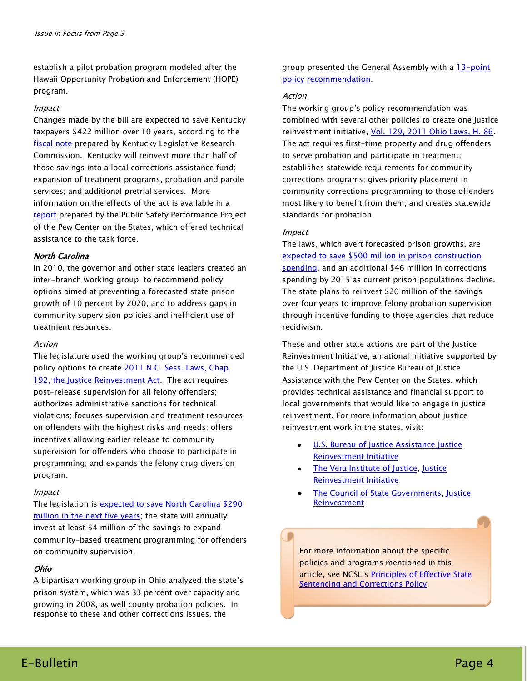establish a pilot probation program modeled after the Hawaii Opportunity Probation and Enforcement (HOPE) program.

#### Impact

Changes made by the bill are expected to save Kentucky taxpayers \$422 million over 10 years, according to the [fiscal note](http://www.lrc.ky.gov/record/11rs/HB463/HCS1FN.doc) prepared by Kentucky Legislative Research Commission. Kentucky will reinvest more than half of those savings into a local corrections assistance fund; expansion of treatment programs, probation and parole services; and additional pretrial services. More information on the effects of the act is available in a [report](http://www.dpa.ky.gov/NR/rdonlyres/1DD65541-F32F-4447-BE51-6D891C20CB6A/0/103_10_PSPPKentuckyBrief_print.pdf) prepared by the Public Safety Performance Project of the Pew Center on the States, which offered technical assistance to the task force.

#### North Carolina

In 2010, the governor and other state leaders created an inter-branch working group to recommend policy options aimed at preventing a forecasted state prison growth of 10 percent by 2020, and to address gaps in community supervision policies and inefficient use of treatment resources.

#### Action

The legislature used the working group's recommended policy options to create 2011 N.C. Sess. Laws, Chap. [192, the Justice Reinvestment Act.](http://www.ncga.state.nc.us/Sessions/2011/Bills/House/PDF/H642v9.pdf) The act requires post-release supervision for all felony offenders; authorizes administrative sanctions for technical violations; focuses supervision and treatment resources on offenders with the highest risks and needs; offers incentives allowing earlier release to community supervision for offenders who choose to participate in programming; and expands the felony drug diversion program.

#### Impact

The legislation is [expected to save North Carolina \\$290](http://justicereinvestment.org/resources/ohio-and-north-carolina-update)  [million in the next five years;](http://justicereinvestment.org/resources/ohio-and-north-carolina-update) the state will annually invest at least \$4 million of the savings to expand community-based treatment programming for offenders on community supervision.

#### Ohio

A bipartisan working group in Ohio analyzed the state's prison system, which was 33 percent over capacity and growing in 2008, as well county probation policies. In response to these and other corrections issues, the

group presented the General Assembly with a 13-point [policy recommendation.](http://justicereinvestment.org/files/JR_Ohio_Policy_Framework.pdf)

#### Action

The working group's policy recommendation was combined with several other policies to create one justice reinvestment initiative, [Vol. 129, 2011 Ohio Laws, H. 86.](http://www.legislature.state.oh.us/BillText129/129_HB_86_EN_N.html) The act requires first-time property and drug offenders to serve probation and participate in treatment; establishes statewide requirements for community corrections programs; gives priority placement in community corrections programming to those offenders most likely to benefit from them; and creates statewide standards for probation.

#### Impact

The laws, which avert forecasted prison growths, are [expected to save \\$500 million in prison construction](http://justicereinvestment.org/resources/ohio-and-north-carolina-update)  [spending,](http://justicereinvestment.org/resources/ohio-and-north-carolina-update) and an additional \$46 million in corrections spending by 2015 as current prison populations decline. The state plans to reinvest \$20 million of the savings over four years to improve felony probation supervision through incentive funding to those agencies that reduce recidivism.

These and other state actions are part of the Justice Reinvestment Initiative, a national initiative supported by the U.S. Department of Justice Bureau of Justice Assistance with the Pew Center on the States, which provides technical assistance and financial support to local governments that would like to engage in justice reinvestment. For more information about justice reinvestment work in the states, visit:

- [U.S. Bureau of Justice Assistance Justice](http://www.ojp.usdoj.gov/BJA/topics/justice_reinvestment.html)  [Reinvestment Initiative](http://www.ojp.usdoj.gov/BJA/topics/justice_reinvestment.html)
- [The Vera Institute of Justice,](http://www.vera.org/) Justice [Reinvestment Initiative](http://www.vera.org/project/justice-reinvestment-initiative)
- [The Council of State Governments,](http://www.justicecenter.csg.org/) [Justice](http://www.justicereinvestment.org/)  [Reinvestment](http://www.justicereinvestment.org/)

For more information about the specific policies and programs mentioned in this article, see NCSL's [Principles of Effective State](http://www.ncsl.org/?TabId=23325)  **[Sentencing and Corrections Policy.](http://www.ncsl.org/?TabId=23325)**